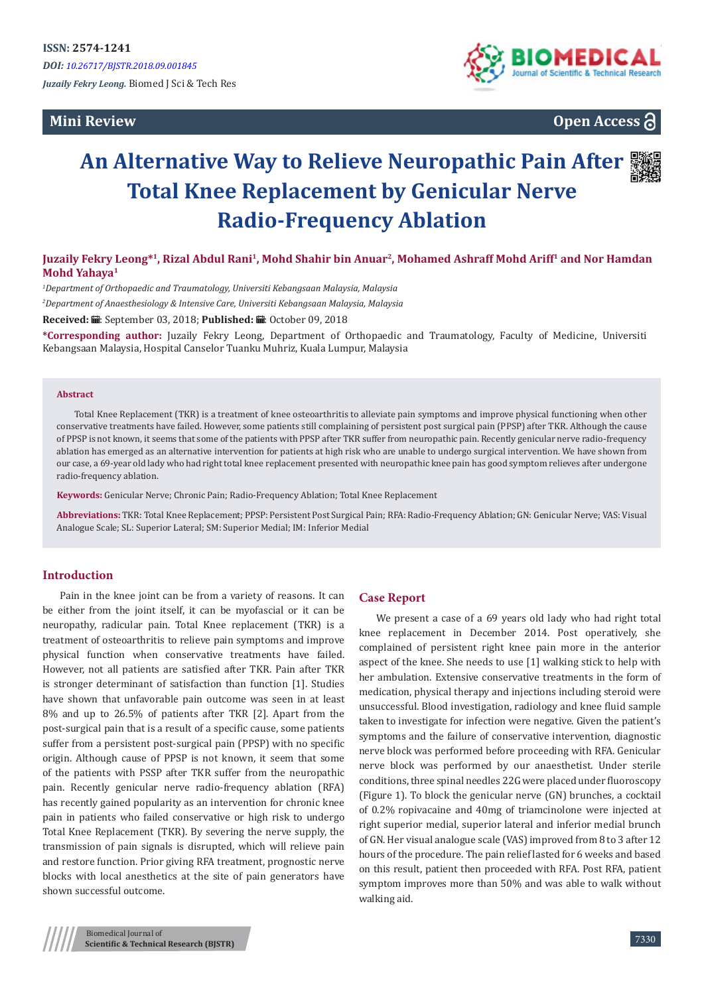**Mini Review** 



**Open Access**

# **An Alternative Way to Relieve Neuropathic Pain After Total Knee Replacement by Genicular Nerve Radio-Frequency Ablation**



**Juzaily Fekry Leong\*<sup>1</sup>, Rizal Abdul Rani<sup>1</sup>, Mohd Shahir bin Anuar<sup>2</sup>, Mohamed Ashraff Mohd Ariff<sup>1</sup> and Nor Hamdan Mohd Yahaya<sup>1</sup>**

*1 Department of Orthopaedic and Traumatology, Universiti Kebangsaan Malaysia, Malaysia*

*2 Department of Anaesthesiology & Intensive Care, Universiti Kebangsaan Malaysia, Malaysia*

**Received:** ■: September 03, 2018; **Published:** ■: October 09, 2018

**\*Corresponding author:** Juzaily Fekry Leong, Department of Orthopaedic and Traumatology, Faculty of Medicine, Universiti Kebangsaan Malaysia, Hospital Canselor Tuanku Muhriz, Kuala Lumpur, Malaysia

#### **Abstract**

Total Knee Replacement (TKR) is a treatment of knee osteoarthritis to alleviate pain symptoms and improve physical functioning when other conservative treatments have failed. However, some patients still complaining of persistent post surgical pain (PPSP) after TKR. Although the cause of PPSP is not known, it seems that some of the patients with PPSP after TKR suffer from neuropathic pain. Recently genicular nerve radio-frequency ablation has emerged as an alternative intervention for patients at high risk who are unable to undergo surgical intervention. We have shown from our case, a 69-year old lady who had right total knee replacement presented with neuropathic knee pain has good symptom relieves after undergone radio-frequency ablation.

**Keywords:** Genicular Nerve; Chronic Pain; Radio-Frequency Ablation; Total Knee Replacement

**Abbreviations:** TKR: Total Knee Replacement; PPSP: Persistent Post Surgical Pain; RFA: Radio-Frequency Ablation; GN: Genicular Nerve; VAS: Visual Analogue Scale; SL: Superior Lateral; SM: Superior Medial; IM: Inferior Medial

## **Introduction**

Pain in the knee joint can be from a variety of reasons. It can be either from the joint itself, it can be myofascial or it can be neuropathy, radicular pain. Total Knee replacement (TKR) is a treatment of osteoarthritis to relieve pain symptoms and improve physical function when conservative treatments have failed. However, not all patients are satisfied after TKR. Pain after TKR is stronger determinant of satisfaction than function [1]. Studies have shown that unfavorable pain outcome was seen in at least 8% and up to 26.5% of patients after TKR [2]. Apart from the post-surgical pain that is a result of a specific cause, some patients suffer from a persistent post-surgical pain (PPSP) with no specific origin. Although cause of PPSP is not known, it seem that some of the patients with PSSP after TKR suffer from the neuropathic pain. Recently genicular nerve radio-frequency ablation (RFA) has recently gained popularity as an intervention for chronic knee pain in patients who failed conservative or high risk to undergo Total Knee Replacement (TKR). By severing the nerve supply, the transmission of pain signals is disrupted, which will relieve pain and restore function. Prior giving RFA treatment, prognostic nerve blocks with local anesthetics at the site of pain generators have shown successful outcome.

### **Case Report**

We present a case of a 69 years old lady who had right total knee replacement in December 2014. Post operatively, she complained of persistent right knee pain more in the anterior aspect of the knee. She needs to use [1] walking stick to help with her ambulation. Extensive conservative treatments in the form of medication, physical therapy and injections including steroid were unsuccessful. Blood investigation, radiology and knee fluid sample taken to investigate for infection were negative. Given the patient's symptoms and the failure of conservative intervention, diagnostic nerve block was performed before proceeding with RFA. Genicular nerve block was performed by our anaesthetist. Under sterile conditions, three spinal needles 22G were placed under fluoroscopy (Figure 1). To block the genicular nerve (GN) brunches, a cocktail of 0.2% ropivacaine and 40mg of triamcinolone were injected at right superior medial, superior lateral and inferior medial brunch of GN. Her visual analogue scale (VAS) improved from 8 to 3 after 12 hours of the procedure. The pain relief lasted for 6 weeks and based on this result, patient then proceeded with RFA. Post RFA, patient symptom improves more than 50% and was able to walk without walking aid.